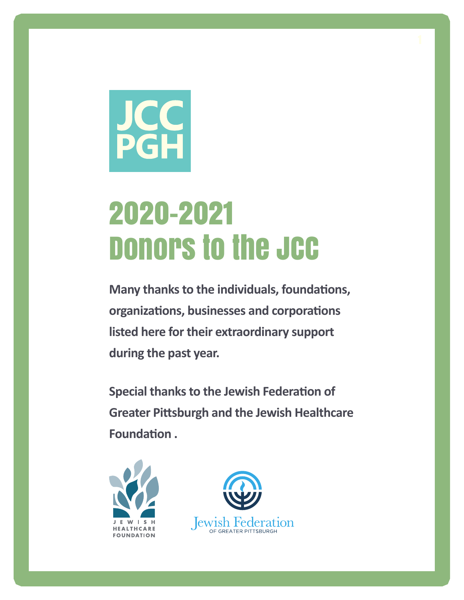

# 2020-2021 Donors to the JCC

**Many thanks to the individuals, foundations, organizations, businesses and corporations listed here for their extraordinary support during the past year.**

**Special thanks to the Jewish Federation of Greater Pittsburgh and the Jewish Healthcare Foundation .** 



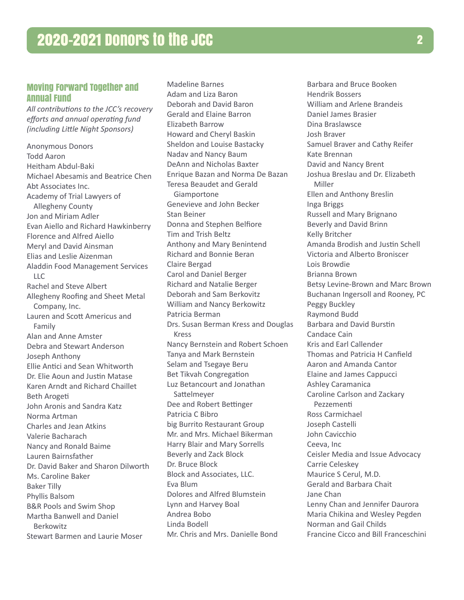# Moving Forward Together and Annual Fund

*All contributions to the JCC's recovery efforts and annual operating fund (including Little Night Sponsors)*

Anonymous Donors Todd Aaron Heitham Abdul-Baki Michael Abesamis and Beatrice Chen Abt Associates Inc. Academy of Trial Lawyers of Allegheny County Jon and Miriam Adler Evan Aiello and Richard Hawkinberry Florence and Alfred Aiello Meryl and David Ainsman Elias and Leslie Aizenman Aladdin Food Management Services LLC Rachel and Steve Albert Allegheny Roofing and Sheet Metal Company, Inc. Lauren and Scott Americus and Family Alan and Anne Amster Debra and Stewart Anderson Joseph Anthony Ellie Antici and Sean Whitworth Dr. Elie Aoun and Justin Matase Karen Arndt and Richard Chaillet Beth Arogeti John Aronis and Sandra Katz Norma Artman Charles and Jean Atkins Valerie Bacharach Nancy and Ronald Baime Lauren Bairnsfather Dr. David Baker and Sharon Dilworth Ms. Caroline Baker Baker Tilly Phyllis Balsom B&R Pools and Swim Shop Martha Banwell and Daniel Berkowitz Stewart Barmen and Laurie Moser

Madeline Barnes Adam and Liza Baron Deborah and David Baron Gerald and Elaine Barron Elizabeth Barrow Howard and Cheryl Baskin Sheldon and Louise Bastacky Nadav and Nancy Baum DeAnn and Nicholas Baxter Enrique Bazan and Norma De Bazan Teresa Beaudet and Gerald Giamportone Genevieve and John Becker Stan Beiner Donna and Stephen Belfiore Tim and Trish Beltz Anthony and Mary Benintend Richard and Bonnie Beran Claire Bergad Carol and Daniel Berger Richard and Natalie Berger Deborah and Sam Berkovitz William and Nancy Berkowitz Patricia Berman Drs. Susan Berman Kress and Douglas Kress Nancy Bernstein and Robert Schoen Tanya and Mark Bernstein Selam and Tsegaye Beru Bet Tikvah Congregation Luz Betancourt and Jonathan Sattelmeyer Dee and Robert Bettinger Patricia C Bibro big Burrito Restaurant Group Mr. and Mrs. Michael Bikerman Harry Blair and Mary Sorrells Beverly and Zack Block Dr. Bruce Block Block and Associates, LLC. Eva Blum Dolores and Alfred Blumstein Lynn and Harvey Boal Andrea Bobo Linda Bodell Mr. Chris and Mrs. Danielle Bond

Barbara and Bruce Booken Hendrik Bossers William and Arlene Brandeis Daniel James Brasier Dina Braslawsce Josh Braver Samuel Braver and Cathy Reifer Kate Brennan David and Nancy Brent Joshua Breslau and Dr. Elizabeth Miller Ellen and Anthony Breslin Inga Briggs Russell and Mary Brignano Beverly and David Brinn Kelly Britcher Amanda Brodish and Justin Schell Victoria and Alberto Broniscer Lois Browdie Brianna Brown Betsy Levine-Brown and Marc Brown Buchanan Ingersoll and Rooney, PC Peggy Buckley Raymond Budd Barbara and David Burstin Candace Cain Kris and Earl Callender Thomas and Patricia H Canfield Aaron and Amanda Cantor Elaine and James Cappucci Ashley Caramanica Caroline Carlson and Zackary Pezzementi Ross Carmichael Joseph Castelli John Cavicchio Ceeva, Inc Ceisler Media and Issue Advocacy Carrie Celeskey Maurice S Cerul, M.D. Gerald and Barbara Chait Jane Chan Lenny Chan and Jennifer Daurora Maria Chikina and Wesley Pegden Norman and Gail Childs Francine Cicco and Bill Franceschini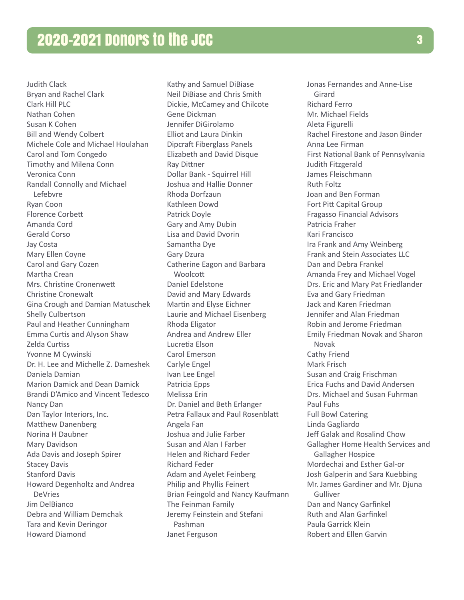Judith Clack Bryan and Rachel Clark Clark Hill PLC Nathan Cohen Susan K Cohen Bill and Wendy Colbert Michele Cole and Michael Houlahan Carol and Tom Congedo Timothy and Milena Conn Veronica Conn Randall Connolly and Michael Lefebvre Ryan Coon Florence Corbett Amanda Cord Gerald Corso Jay Costa Mary Ellen Coyne Carol and Gary Cozen Martha Crean Mrs. Christine Cronenwett Christine Cronewalt Gina Crough and Damian Matuschek Shelly Culbertson Paul and Heather Cunningham Emma Curtis and Alyson Shaw Zelda Curtiss Yvonne M Cywinski Dr. H. Lee and Michelle Z. Dameshek Daniela Damian Marion Damick and Dean Damick Brandi D'Amico and Vincent Tedesco Nancy Dan Dan Taylor Interiors, Inc. Matthew Danenberg Norina H Daubner Mary Davidson Ada Davis and Joseph Spirer Stacey Davis Stanford Davis Howard Degenholtz and Andrea DeVries Jim DelBianco Debra and William Demchak Tara and Kevin Deringor Howard Diamond

Kathy and Samuel DiBiase Neil DiBiase and Chris Smith Dickie, McCamey and Chilcote Gene Dickman Jennifer DiGirolamo Elliot and Laura Dinkin Dipcraft Fiberglass Panels Elizabeth and David Disque Ray Dittner Dollar Bank - Squirrel Hill Joshua and Hallie Donner Rhoda Dorfzaun Kathleen Dowd Patrick Doyle Gary and Amy Dubin Lisa and David Dvorin Samantha Dye Gary Dzura Catherine Eagon and Barbara **Woolcott** Daniel Edelstone David and Mary Edwards Martin and Elyse Eichner Laurie and Michael Eisenberg Rhoda Eligator Andrea and Andrew Eller Lucretia Elson Carol Emerson Carlyle Engel Ivan Lee Engel Patricia Epps Melissa Erin Dr. Daniel and Beth Erlanger Petra Fallaux and Paul Rosenblatt Angela Fan Joshua and Julie Farber Susan and Alan I Farber Helen and Richard Feder Richard Feder Adam and Ayelet Feinberg Philip and Phyllis Feinert Brian Feingold and Nancy Kaufmann The Feinman Family Jeremy Feinstein and Stefani Pashman Janet Ferguson

Jonas Fernandes and Anne-Lise Girard Richard Ferro Mr. Michael Fields Aleta Figurelli Rachel Firestone and Jason Binder Anna Lee Firman First National Bank of Pennsylvania Judith Fitzgerald James Fleischmann Ruth Foltz Joan and Ben Forman Fort Pitt Capital Group Fragasso Financial Advisors Patricia Fraher Kari Francisco Ira Frank and Amy Weinberg Frank and Stein Associates LLC Dan and Debra Frankel Amanda Frey and Michael Vogel Drs. Eric and Mary Pat Friedlander Eva and Gary Friedman Jack and Karen Friedman Jennifer and Alan Friedman Robin and Jerome Friedman Emily Friedman Novak and Sharon Novak Cathy Friend Mark Frisch Susan and Craig Frischman Erica Fuchs and David Andersen Drs. Michael and Susan Fuhrman Paul Fuhs Full Bowl Catering Linda Gagliardo Jeff Galak and Rosalind Chow Gallagher Home Health Services and Gallagher Hospice Mordechai and Esther Gal-or Josh Galperin and Sara Kuebbing Mr. James Gardiner and Mr. Djuna Gulliver Dan and Nancy Garfinkel Ruth and Alan Garfinkel Paula Garrick Klein Robert and Ellen Garvin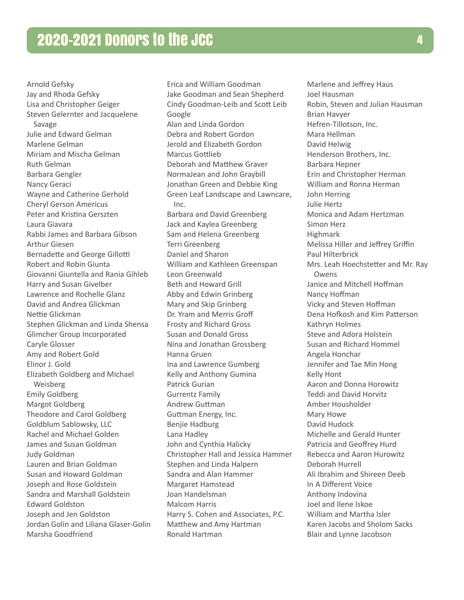Arnold Gefsky Jay and Rhoda Gefsky Lisa and Christopher Geiger Steven Gelernter and Jacquelene Savage Julie and Edward Gelman Marlene Gelman Miriam and Mischa Gelman Ruth Gelman Barbara Gengler Nancy Geraci Wayne and Catherine Gerhold Cheryl Gerson Americus Peter and Kristina Gerszten Laura Giavara Rabbi James and Barbara Gibson Arthur Giesen Bernadette and George Gillotti Robert and Robin Giunta Giovanni Giuntella and Rania Gihleb Harry and Susan Givelber Lawrence and Rochelle Glanz David and Andrea Glickman Nettie Glickman Stephen Glickman and Linda Shensa Glimcher Group Incorporated Caryle Glosser Amy and Robert Gold Elinor J. Gold Elizabeth Goldberg and Michael Weisberg Emily Goldberg Margot Goldberg Theodore and Carol Goldberg Goldblum Sablowsky, LLC Rachel and Michael Golden James and Susan Goldman Judy Goldman Lauren and Brian Goldman Susan and Howard Goldman Joseph and Rose Goldstein Sandra and Marshall Goldstein Edward Goldston Joseph and Jen Goldston Jordan Golin and Liliana Glaser-Golin Marsha Goodfriend

Erica and William Goodman Jake Goodman and Sean Shepherd Cindy Goodman-Leib and Scott Leib Google Alan and Linda Gordon Debra and Robert Gordon Jerold and Elizabeth Gordon Marcus Gottlieb Deborah and Matthew Graver NormaJean and John Graybill Jonathan Green and Debbie King Green Leaf Landscape and Lawncare, Inc. Barbara and David Greenberg Jack and Kaylea Greenberg Sam and Helena Greenberg Terri Greenberg Daniel and Sharon William and Kathleen Greenspan Leon Greenwald Beth and Howard Grill Abby and Edwin Grinberg Mary and Skip Grinberg Dr. Yram and Merris Groff Frosty and Richard Gross Susan and Donald Gross Nina and Jonathan Grossberg Hanna Gruen Ina and Lawrence Gumberg Kelly and Anthony Gumina Patrick Gurian Gurrentz Family Andrew Guttman Guttman Energy, Inc. Benjie Hadburg Lana Hadley John and Cynthia Halicky Christopher Hall and Jessica Hammer Stephen and Linda Halpern Sandra and Alan Hammer Margaret Hamstead Joan Handelsman Malcom Harris Harry S. Cohen and Associates, P.C. Matthew and Amy Hartman Ronald Hartman

Marlene and Jeffrey Haus Joel Hausman Robin, Steven and Julian Hausman Brian Havyer Hefren-Tillotson, Inc. Mara Hellman David Helwig Henderson Brothers, Inc. Barbara Hepner Erin and Christopher Herman William and Ronna Herman John Herring Julie Hertz Monica and Adam Hertzman Simon Herz Highmark Melissa Hiller and Jeffrey Griffin Paul Hilterbrick Mrs. Leah Hoechstetter and Mr. Ray **Owens** Janice and Mitchell Hoffman Nancy Hoffman Vicky and Steven Hoffman Dena Hofkosh and Kim Patterson Kathryn Holmes Steve and Adora Holstein Susan and Richard Hommel Angela Honchar Jennifer and Tae Min Hong Kelly Hont Aaron and Donna Horowitz Teddi and David Horvitz Amber Housholder Mary Howe David Hudock Michelle and Gerald Hunter Patricia and Geoffrey Hurd Rebecca and Aaron Hurowitz Deborah Hurrell Ali Ibrahim and Shireen Deeb In A Different Voice Anthony Indovina Joel and Ilene Iskoe William and Martha Isler Karen Jacobs and Sholom Sacks Blair and Lynne Jacobson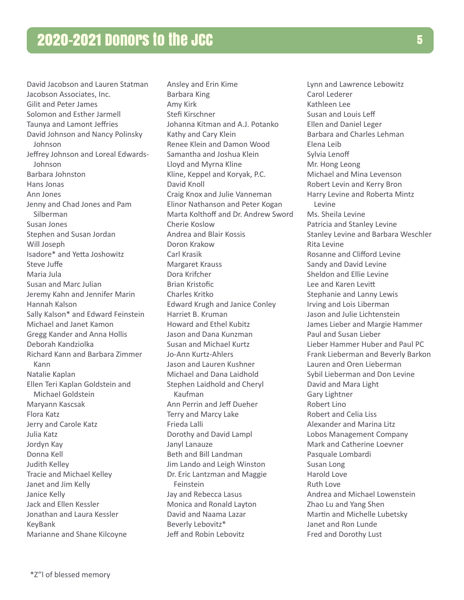David Jacobson and Lauren Statman Jacobson Associates, Inc. Gilit and Peter James Solomon and Esther Jarmell Taunya and Lamont Jeffries David Johnson and Nancy Polinsky Johnson Jeffrey Johnson and Loreal Edwards-Johnson Barbara Johnston Hans Jonas Ann Jones Jenny and Chad Jones and Pam Silberman Susan Jones Stephen and Susan Jordan Will Joseph Isadore\* and Yetta Joshowitz Steve Juffe Maria Jula Susan and Marc Julian Jeremy Kahn and Jennifer Marin Hannah Kalson Sally Kalson\* and Edward Feinstein Michael and Janet Kamon Gregg Kander and Anna Hollis Deborah Kandziolka Richard Kann and Barbara Zimmer Kann Natalie Kaplan Ellen Teri Kaplan Goldstein and Michael Goldstein Maryann Kascsak Flora Katz Jerry and Carole Katz Julia Katz Jordyn Kay Donna Kell Judith Kelley Tracie and Michael Kelley Janet and Jim Kelly Janice Kelly Jack and Ellen Kessler Jonathan and Laura Kessler KeyBank Marianne and Shane Kilcoyne

Ansley and Erin Kime Barbara King Amy Kirk Stefi Kirschner Johanna Kitman and A.J. Potanko Kathy and Cary Klein Renee Klein and Damon Wood Samantha and Joshua Klein Lloyd and Myrna Kline Kline, Keppel and Koryak, P.C. David Knoll Craig Knox and Julie Vanneman Elinor Nathanson and Peter Kogan Marta Kolthoff and Dr. Andrew Sword Cherie Koslow Andrea and Blair Kossis Doron Krakow Carl Krasik Margaret Krauss Dora Krifcher Brian Kristofic Charles Kritko Edward Krugh and Janice Conley Harriet B. Kruman Howard and Ethel Kubitz Jason and Dana Kunzman Susan and Michael Kurtz Jo-Ann Kurtz-Ahlers Jason and Lauren Kushner Michael and Dana Laidhold Stephen Laidhold and Cheryl Kaufman Ann Perrin and Jeff Dueher Terry and Marcy Lake Frieda Lalli Dorothy and David Lampl Janyl Lanauze Beth and Bill Landman Jim Lando and Leigh Winston Dr. Eric Lantzman and Maggie Feinstein Jay and Rebecca Lasus Monica and Ronald Layton David and Naama Lazar Beverly Lebovitz\* Jeff and Robin Lebovitz

Lynn and Lawrence Lebowitz Carol Lederer Kathleen Lee Susan and Louis Leff Ellen and Daniel Leger Barbara and Charles Lehman Elena Leib Sylvia Lenoff Mr. Hong Leong Michael and Mina Levenson Robert Levin and Kerry Bron Harry Levine and Roberta Mintz Levine Ms. Sheila Levine Patricia and Stanley Levine Stanley Levine and Barbara Weschler Rita Levine Rosanne and Clifford Levine Sandy and David Levine Sheldon and Ellie Levine Lee and Karen Levitt Stephanie and Lanny Lewis Irving and Lois Liberman Jason and Julie Lichtenstein James Lieber and Margie Hammer Paul and Susan Lieber Lieber Hammer Huber and Paul PC Frank Lieberman and Beverly Barkon Lauren and Oren Lieberman Sybil Lieberman and Don Levine David and Mara Light Gary Lightner Robert Lino Robert and Celia Liss Alexander and Marina Litz Lobos Management Company Mark and Catherine Loevner Pasquale Lombardi Susan Long Harold Love Ruth Love Andrea and Michael Lowenstein Zhao Lu and Yang Shen Martin and Michelle Lubetsky Janet and Ron Lunde Fred and Dorothy Lust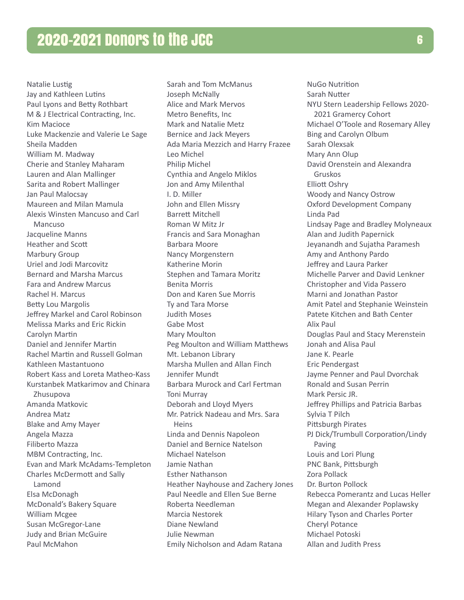Natalie Lustig Jay and Kathleen Lutins Paul Lyons and Betty Rothbart M & J Electrical Contracting, Inc. Kim Macioce Luke Mackenzie and Valerie Le Sage Sheila Madden William M. Madway Cherie and Stanley Maharam Lauren and Alan Mallinger Sarita and Robert Mallinger Jan Paul Malocsay Maureen and Milan Mamula Alexis Winsten Mancuso and Carl Mancuso Jacqueline Manns Heather and Scott Marbury Group Uriel and Jodi Marcovitz Bernard and Marsha Marcus Fara and Andrew Marcus Rachel H. Marcus Betty Lou Margolis Jeffrey Markel and Carol Robinson Melissa Marks and Eric Rickin Carolyn Martin Daniel and Jennifer Martin Rachel Martin and Russell Golman Kathleen Mastantuono Robert Kass and Loreta Matheo-Kass Kurstanbek Matkarimov and Chinara Zhusupova Amanda Matkovic Andrea Matz Blake and Amy Mayer Angela Mazza Filiberto Mazza MBM Contracting, Inc. Evan and Mark McAdams-Templeton Charles McDermott and Sally Lamond Elsa McDonagh McDonald's Bakery Square William Mcgee Susan McGregor-Lane Judy and Brian McGuire Paul McMahon

Sarah and Tom McManus Joseph McNally Alice and Mark Mervos Metro Benefits, Inc Mark and Natalie Metz Bernice and Jack Meyers Ada Maria Mezzich and Harry Frazee Leo Michel Philip Michel Cynthia and Angelo Miklos Jon and Amy Milenthal I. D. Miller John and Ellen Missry Barrett Mitchell Roman W Mitz Jr Francis and Sara Monaghan Barbara Moore Nancy Morgenstern Katherine Morin Stephen and Tamara Moritz Benita Morris Don and Karen Sue Morris Ty and Tara Morse Judith Moses Gabe Most Mary Moulton Peg Moulton and William Matthews Mt. Lebanon Library Marsha Mullen and Allan Finch Jennifer Mundt Barbara Murock and Carl Fertman Toni Murray Deborah and Lloyd Myers Mr. Patrick Nadeau and Mrs. Sara Heins Linda and Dennis Napoleon Daniel and Bernice Natelson Michael Natelson Jamie Nathan Esther Nathanson Heather Nayhouse and Zachery Jones Paul Needle and Ellen Sue Berne Roberta Needleman Marcia Nestorek Diane Newland Julie Newman Emily Nicholson and Adam Ratana

NuGo Nutrition Sarah Nutter NYU Stern Leadership Fellows 2020- 2021 Gramercy Cohort Michael O'Toole and Rosemary Alley Bing and Carolyn Olbum Sarah Olexsak Mary Ann Olup David Orenstein and Alexandra Gruskos Elliott Oshry Woody and Nancy Ostrow Oxford Development Company Linda Pad Lindsay Page and Bradley Molyneaux Alan and Judith Papernick Jeyanandh and Sujatha Paramesh Amy and Anthony Pardo Jeffrey and Laura Parker Michelle Parver and David Lenkner Christopher and Vida Passero Marni and Jonathan Pastor Amit Patel and Stephanie Weinstein Patete Kitchen and Bath Center Alix Paul Douglas Paul and Stacy Merenstein Jonah and Alisa Paul Jane K. Pearle Eric Pendergast Jayme Penner and Paul Dvorchak Ronald and Susan Perrin Mark Persic JR. Jeffrey Phillips and Patricia Barbas Sylvia T Pilch Pittsburgh Pirates PJ Dick/Trumbull Corporation/Lindy Paving Louis and Lori Plung PNC Bank, Pittsburgh Zora Pollack Dr. Burton Pollock Rebecca Pomerantz and Lucas Heller Megan and Alexander Poplawsky Hilary Tyson and Charles Porter Cheryl Potance Michael Potoski Allan and Judith Press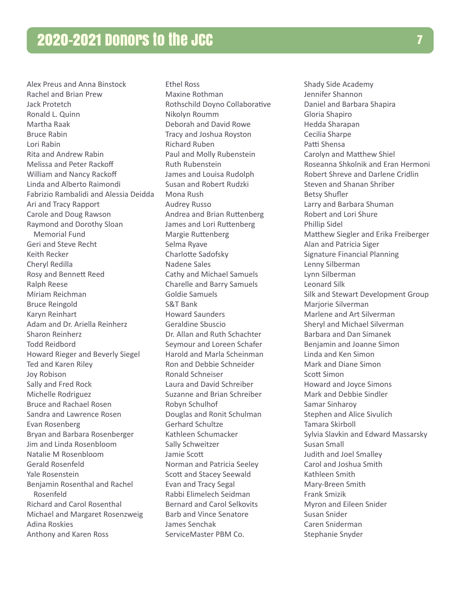Alex Preus and Anna Binstock Rachel and Brian Prew Jack Protetch Ronald L. Quinn Martha Raak Bruce Rabin Lori Rabin Rita and Andrew Rabin Melissa and Peter Rackoff William and Nancy Rackoff Linda and Alberto Raimondi Fabrizio Rambalidi and Alessia Deidda Ari and Tracy Rapport Carole and Doug Rawson Raymond and Dorothy Sloan Memorial Fund Geri and Steve Recht Keith Recker Cheryl Redilla Rosy and Bennett Reed Ralph Reese Miriam Reichman Bruce Reingold Karyn Reinhart Adam and Dr. Ariella Reinherz Sharon Reinherz Todd Reidbord Howard Rieger and Beverly Siegel Ted and Karen Riley Joy Robison Sally and Fred Rock Michelle Rodriguez Bruce and Rachael Rosen Sandra and Lawrence Rosen Evan Rosenberg Bryan and Barbara Rosenberger Jim and Linda Rosenbloom Natalie M Rosenbloom Gerald Rosenfeld Yale Rosenstein Benjamin Rosenthal and Rachel Rosenfeld Richard and Carol Rosenthal Michael and Margaret Rosenzweig Adina Roskies Anthony and Karen Ross

Ethel Ross Maxine Rothman Rothschild Doyno Collaborative Nikolyn Roumm Deborah and David Rowe Tracy and Joshua Royston Richard Ruben Paul and Molly Rubenstein Ruth Rubenstein James and Louisa Rudolph Susan and Robert Rudzki Mona Rush Audrey Russo Andrea and Brian Ruttenberg James and Lori Ruttenberg Margie Ruttenberg Selma Ryave Charlotte Sadofsky Nadene Sales Cathy and Michael Samuels Charelle and Barry Samuels Goldie Samuels S&T Bank Howard Saunders Geraldine Sbuscio Dr. Allan and Ruth Schachter Seymour and Loreen Schafer Harold and Marla Scheinman Ron and Debbie Schneider Ronald Schneiser Laura and David Schreiber Suzanne and Brian Schreiber Robyn Schulhof Douglas and Ronit Schulman Gerhard Schultze Kathleen Schumacker Sally Schweitzer Jamie Scott Norman and Patricia Seeley Scott and Stacey Seewald Evan and Tracy Segal Rabbi Elimelech Seidman Bernard and Carol Selkovits Barb and Vince Senatore James Senchak ServiceMaster PBM Co.

Shady Side Academy Jennifer Shannon Daniel and Barbara Shapira Gloria Shapiro Hedda Sharapan Cecilia Sharpe Patti Shensa Carolyn and Matthew Shiel Roseanna Shkolnik and Eran Hermoni Robert Shreve and Darlene Cridlin Steven and Shanan Shriber Betsy Shufler Larry and Barbara Shuman Robert and Lori Shure Phillip Sidel Matthew Siegler and Erika Freiberger Alan and Patricia Siger Signature Financial Planning Lenny Silberman Lynn Silberman Leonard Silk Silk and Stewart Development Group Marjorie Silverman Marlene and Art Silverman Sheryl and Michael Silverman Barbara and Dan Simanek Benjamin and Joanne Simon Linda and Ken Simon Mark and Diane Simon Scott Simon Howard and Joyce Simons Mark and Debbie Sindler Samar Sinharoy Stephen and Alice Sivulich Tamara Skirboll Sylvia Slavkin and Edward Massarsky Susan Small Judith and Joel Smalley Carol and Joshua Smith Kathleen Smith Mary-Breen Smith Frank Smizik Myron and Eileen Snider Susan Snider Caren Sniderman Stephanie Snyder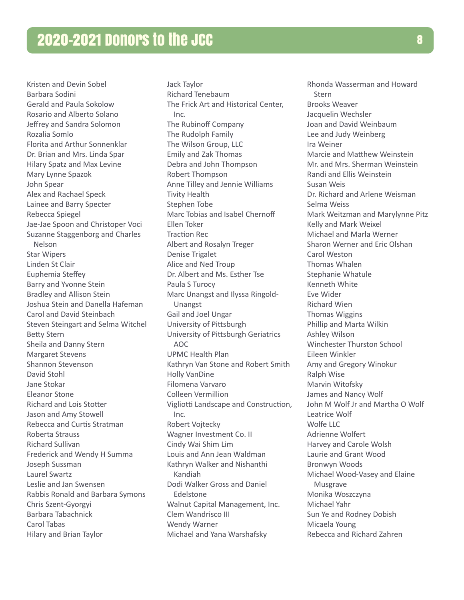Kristen and Devin Sobel Barbara Sodini Gerald and Paula Sokolow Rosario and Alberto Solano Jeffrey and Sandra Solomon Rozalia Somlo Florita and Arthur Sonnenklar Dr. Brian and Mrs. Linda Spar Hilary Spatz and Max Levine Mary Lynne Spazok John Spear Alex and Rachael Speck Lainee and Barry Specter Rebecca Spiegel Jae-Jae Spoon and Christoper Voci Suzanne Staggenborg and Charles Nelson Star Wipers Linden St Clair Euphemia Steffey Barry and Yvonne Stein Bradley and Allison Stein Joshua Stein and Danella Hafeman Carol and David Steinbach Steven Steingart and Selma Witchel Betty Stern Sheila and Danny Stern Margaret Stevens Shannon Stevenson David Stohl Jane Stokar Eleanor Stone Richard and Lois Stotter Jason and Amy Stowell Rebecca and Curtis Stratman Roberta Strauss Richard Sullivan Frederick and Wendy H Summa Joseph Sussman Laurel Swartz Leslie and Jan Swensen Rabbis Ronald and Barbara Symons Chris Szent-Gyorgyi Barbara Tabachnick Carol Tabas Hilary and Brian Taylor

Jack Taylor Richard Tenebaum The Frick Art and Historical Center, Inc. The Rubinoff Company The Rudolph Family The Wilson Group, LLC Emily and Zak Thomas Debra and John Thompson Robert Thompson Anne Tilley and Jennie Williams Tivity Health Stephen Tobe Marc Tobias and Isabel Chernoff Ellen Toker Traction Rec Albert and Rosalyn Treger Denise Trigalet Alice and Ned Troup Dr. Albert and Ms. Esther Tse Paula S Turocy Marc Unangst and Ilyssa Ringold-Unangst Gail and Joel Ungar University of Pittsburgh University of Pittsburgh Geriatrics AOC UPMC Health Plan Kathryn Van Stone and Robert Smith Holly VanDine Filomena Varvaro Colleen Vermillion Vigliotti Landscape and Construction, Inc. Robert Vojtecky Wagner Investment Co. II Cindy Wai Shim Lim Louis and Ann Jean Waldman Kathryn Walker and Nishanthi Kandiah Dodi Walker Gross and Daniel Edelstone Walnut Capital Management, Inc. Clem Wandrisco III Wendy Warner Michael and Yana Warshafsky

Rhonda Wasserman and Howard **Stern** Brooks Weaver Jacquelin Wechsler Joan and David Weinbaum Lee and Judy Weinberg Ira Weiner Marcie and Matthew Weinstein Mr. and Mrs. Sherman Weinstein Randi and Ellis Weinstein Susan Weis Dr. Richard and Arlene Weisman Selma Weiss Mark Weitzman and Marylynne Pitz Kelly and Mark Weixel Michael and Marla Werner Sharon Werner and Eric Olshan Carol Weston Thomas Whalen Stephanie Whatule Kenneth White Eve Wider Richard Wien Thomas Wiggins Phillip and Marta Wilkin Ashley Wilson Winchester Thurston School Eileen Winkler Amy and Gregory Winokur Ralph Wise Marvin Witofsky James and Nancy Wolf John M Wolf Jr and Martha O Wolf Leatrice Wolf Wolfe LLC Adrienne Wolfert Harvey and Carole Wolsh Laurie and Grant Wood Bronwyn Woods Michael Wood-Vasey and Elaine Musgrave Monika Woszczyna Michael Yahr Sun Ye and Rodney Dobish Micaela Young Rebecca and Richard Zahren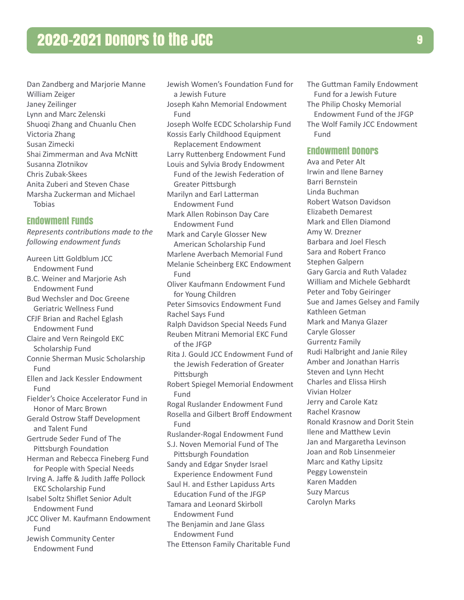Dan Zandberg and Marjorie Manne William Zeiger Janey Zeilinger Lynn and Marc Zelenski Shuoqi Zhang and Chuanlu Chen Victoria Zhang Susan Zimecki Shai Zimmerman and Ava McNitt Susanna Zlotnikov Chris Zubak-Skees Anita Zuberi and Steven Chase Marsha Zuckerman and Michael Tobias

#### Endowment Funds

*Represents contributions made to the following endowment funds*

Aureen Litt Goldblum JCC Endowment Fund B.C. Weiner and Marjorie Ash Endowment Fund Bud Wechsler and Doc Greene Geriatric Wellness Fund CFJF Brian and Rachel Eglash Endowment Fund Claire and Vern Reingold EKC Scholarship Fund Connie Sherman Music Scholarship Fund Ellen and Jack Kessler Endowment Fund Fielder's Choice Accelerator Fund in Honor of Marc Brown Gerald Ostrow Staff Development and Talent Fund Gertrude Seder Fund of The Pittsburgh Foundation Herman and Rebecca Fineberg Fund for People with Special Needs Irving A. Jaffe & Judith Jaffe Pollock EKC Scholarship Fund Isabel Soltz Shiflet Senior Adult Endowment Fund JCC Oliver M. Kaufmann Endowment Fund Jewish Community Center Endowment Fund

Jewish Women's Foundation Fund for a Jewish Future Joseph Kahn Memorial Endowment Fund Joseph Wolfe ECDC Scholarship Fund Kossis Early Childhood Equipment Replacement Endowment Larry Ruttenberg Endowment Fund Louis and Sylvia Brody Endowment Fund of the Jewish Federation of Greater Pittsburgh Marilyn and Earl Latterman Endowment Fund Mark Allen Robinson Day Care Endowment Fund Mark and Caryle Glosser New American Scholarship Fund Marlene Averbach Memorial Fund Melanie Scheinberg EKC Endowment Fund Oliver Kaufmann Endowment Fund for Young Children Peter Simsovics Endowment Fund Rachel Says Fund Ralph Davidson Special Needs Fund Reuben Mitrani Memorial EKC Fund of the JFGP Rita J. Gould JCC Endowment Fund of the Jewish Federation of Greater Pittsburgh Robert Spiegel Memorial Endowment Fund Rogal Ruslander Endowment Fund Rosella and Gilbert Broff Endowment Fund Ruslander-Rogal Endowment Fund S.J. Noven Memorial Fund of The Pittsburgh Foundation Sandy and Edgar Snyder Israel Experience Endowment Fund Saul H. and Esther Lapiduss Arts Education Fund of the JFGP Tamara and Leonard Skirboll Endowment Fund The Benjamin and Jane Glass Endowment Fund The Ettenson Family Charitable Fund

The Guttman Family Endowment Fund for a Jewish Future The Philip Chosky Memorial Endowment Fund of the JFGP The Wolf Family JCC Endowment Fund

## Endowment Donors

Ava and Peter Alt Irwin and Ilene Barney Barri Bernstein Linda Buchman Robert Watson Davidson Elizabeth Demarest Mark and Ellen Diamond Amy W. Drezner Barbara and Joel Flesch Sara and Robert Franco Stephen Galpern Gary Garcia and Ruth Valadez William and Michele Gebhardt Peter and Toby Geiringer Sue and James Gelsey and Family Kathleen Getman Mark and Manya Glazer Caryle Glosser Gurrentz Family Rudi Halbright and Janie Riley Amber and Jonathan Harris Steven and Lynn Hecht Charles and Elissa Hirsh Vivian Holzer Jerry and Carole Katz Rachel Krasnow Ronald Krasnow and Dorit Stein Ilene and Matthew Levin Jan and Margaretha Levinson Joan and Rob Linsenmeier Marc and Kathy Lipsitz Peggy Lowenstein Karen Madden Suzy Marcus Carolyn Marks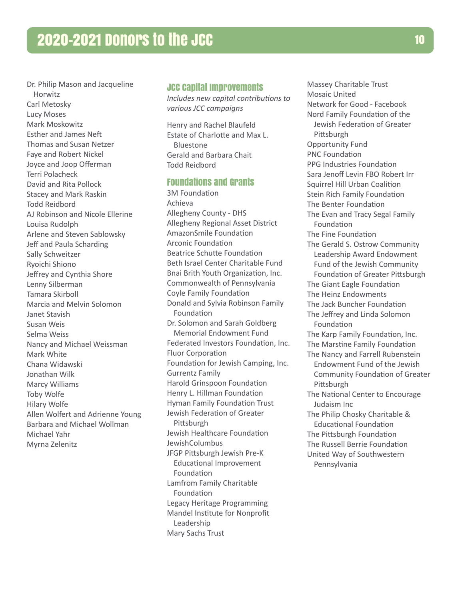Dr. Philip Mason and Jacqueline Horwitz Carl Metosky Lucy Moses Mark Moskowitz Esther and James Neft Thomas and Susan Netzer Faye and Robert Nickel Joyce and Joop Offerman Terri Polacheck David and Rita Pollock Stacey and Mark Raskin Todd Reidbord AJ Robinson and Nicole Ellerine Louisa Rudolph Arlene and Steven Sablowsky Jeff and Paula Scharding Sally Schweitzer Ryoichi Shiono Jeffrey and Cynthia Shore Lenny Silberman Tamara Skirboll Marcia and Melvin Solomon Janet Stavish Susan Weis Selma Weiss Nancy and Michael Weissman Mark White Chana Widawski Jonathan Wilk Marcy Williams Toby Wolfe Hilary Wolfe Allen Wolfert and Adrienne Young Barbara and Michael Wollman Michael Yahr Myrna Zelenitz

#### JCC Capital Improvements

*Includes new capital contributions to various JCC campaigns*

Henry and Rachel Blaufeld Estate of Charlotte and Max L. Bluestone Gerald and Barbara Chait Todd Reidbord

# Foundations and Grants

3M Foundation Achieva Allegheny County - DHS Allegheny Regional Asset District AmazonSmile Foundation Arconic Foundation Beatrice Schutte Foundation Beth Israel Center Charitable Fund Bnai Brith Youth Organization, Inc. Commonwealth of Pennsylvania Coyle Family Foundation Donald and Sylvia Robinson Family Foundation Dr. Solomon and Sarah Goldberg Memorial Endowment Fund Federated Investors Foundation, Inc. Fluor Corporation Foundation for Jewish Camping, Inc. Gurrentz Family Harold Grinspoon Foundation Henry L. Hillman Foundation Hyman Family Foundation Trust Jewish Federation of Greater Pittsburgh Jewish Healthcare Foundation JewishColumbus JFGP Pittsburgh Jewish Pre-K Educational Improvement Foundation Lamfrom Family Charitable Foundation Legacy Heritage Programming Mandel Institute for Nonprofit Leadership Mary Sachs Trust

Massey Charitable Trust Mosaic United Network for Good - Facebook Nord Family Foundation of the Jewish Federation of Greater **Pittsburgh** Opportunity Fund PNC Foundation PPG Industries Foundation Sara Jenoff Levin FBO Robert Irr Squirrel Hill Urban Coalition Stein Rich Family Foundation The Benter Foundation The Evan and Tracy Segal Family Foundation The Fine Foundation The Gerald S. Ostrow Community Leadership Award Endowment Fund of the Jewish Community Foundation of Greater Pittsburgh The Giant Eagle Foundation The Heinz Endowments The Jack Buncher Foundation The Jeffrey and Linda Solomon Foundation The Karp Family Foundation, Inc. The Marstine Family Foundation The Nancy and Farrell Rubenstein Endowment Fund of the Jewish Community Foundation of Greater Pittsburgh The National Center to Encourage Judaism Inc The Philip Chosky Charitable & Educational Foundation The Pittsburgh Foundation The Russell Berrie Foundation United Way of Southwestern Pennsylvania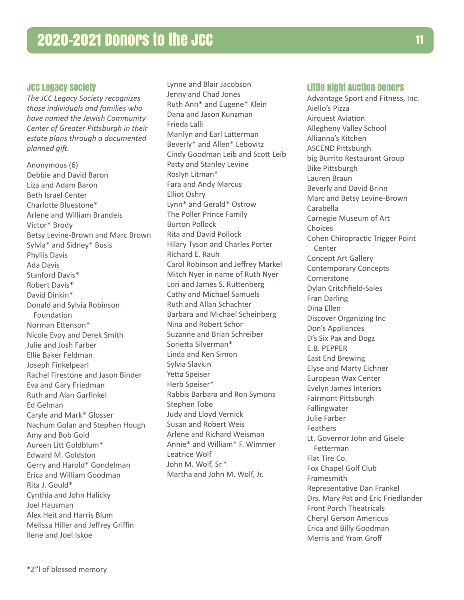# JCC Legacy Society

*The JCC Legacy Society recognizes those individuals and families who have named the Jewish Community Center of Greater Pittsburgh in their estate plans through a documented planned gift.* 

Anonymous (6) Debbie and David Baron Liza and Adam Baron Beth Israel Center Charlotte Bluestone\* Arlene and William Brandeis Victor\* Brody Betsy Levine-Brown and Marc Brown Sylvia\* and Sidney\* Busis Phyllis Davis Ada Davis Stanford Davis\* Robert Davis\* David Dinkin\* Donald and Sylvia Robinson Foundation Norman Ettenson\* Nicole Evoy and Derek Smith Julie and Josh Farber Ellie Baker Feldman Joseph Finkelpearl Rachel Firestone and Jason Binder Eva and Gary Friedman Ruth and Alan Garfinkel Ed Gelman Caryle and Mark\* Glosser Nachum Golan and Stephen Hough Amy and Bob Gold Aureen Litt Goldblum\* Edward M. Goldston Gerry and Harold\* Gondelman Erica and William Goodman Rita J. Gould\* Cynthia and John Halicky Joel Hausman Alex Heit and Harris Blum Melissa Hiller and Jeffrey Griffin Ilene and Joel Iskoe

Lynne and Blair Jacobson Jenny and Chad Jones Ruth Ann\* and Eugene\* Klein Dana and Jason Kunzman Frieda Lalli Marilyn and Earl Latterman Beverly\* and Allen\* Lebovitz Cindy Goodman Leib and Scott Leib Patty and Stanley Levine Roslyn Litman\* Fara and Andy Marcus Elliot Oshry Lynn\* and Gerald\* Ostrow The Poller Prince Family Burton Pollock Rita and David Pollock Hilary Tyson and Charles Porter Richard E. Rauh Carol Robinson and Jeffrey Markel Mitch Nyer in name of Ruth Nyer Lori and James S. Ruttenberg Cathy and Michael Samuels Ruth and Allan Schachter Barbara and Michael Scheinberg Nina and Robert Schor Suzanne and Brian Schreiber Sorietta Silverman\* Linda and Ken Simon Sylvia Slavkin Yetta Speiser Herb Speiser\* Rabbis Barbara and Ron Symons Stephen Tobe Judy and Lloyd Vernick Susan and Robert Weis Arlene and Richard Weisman Annie\* and William\* F. Wimmer Leatrice Wolf John M. Wolf, Sr.\* Martha and John M. Wolf, Jr.

## Little Night Auction Donors

Advantage Sport and Fitness, Inc. Aiello's Pizza Airquest Aviation Allegheny Valley School Allianna's Kitchen ASCEND Pittsburgh big Burrito Restaurant Group Bike Pittsburgh Lauren Braun Beverly and David Brinn Marc and Betsy Levine-Brown Carabella Carnegie Museum of Art Choices Cohen Chiropractic Trigger Point Center Concept Art Gallery Contemporary Concepts **Cornerstone** Dylan Critchfield-Sales Fran Darling Dina Ellen Discover Organizing Inc Don's Appliances D's Six Pax and Dogz E.B. PEPPER East End Brewing Elyse and Marty Eichner European Wax Center Evelyn James Interiors Fairmont Pittsburgh Fallingwater Julie Farber Feathers Lt. Governor John and Gisele Fetterman Flat Tire Co. Fox Chapel Golf Club Framesmith Representative Dan Frankel Drs. Mary Pat and Eric Friedlander Front Porch Theatricals Cheryl Gerson Americus Erica and Billy Goodman Merris and Yram Groff